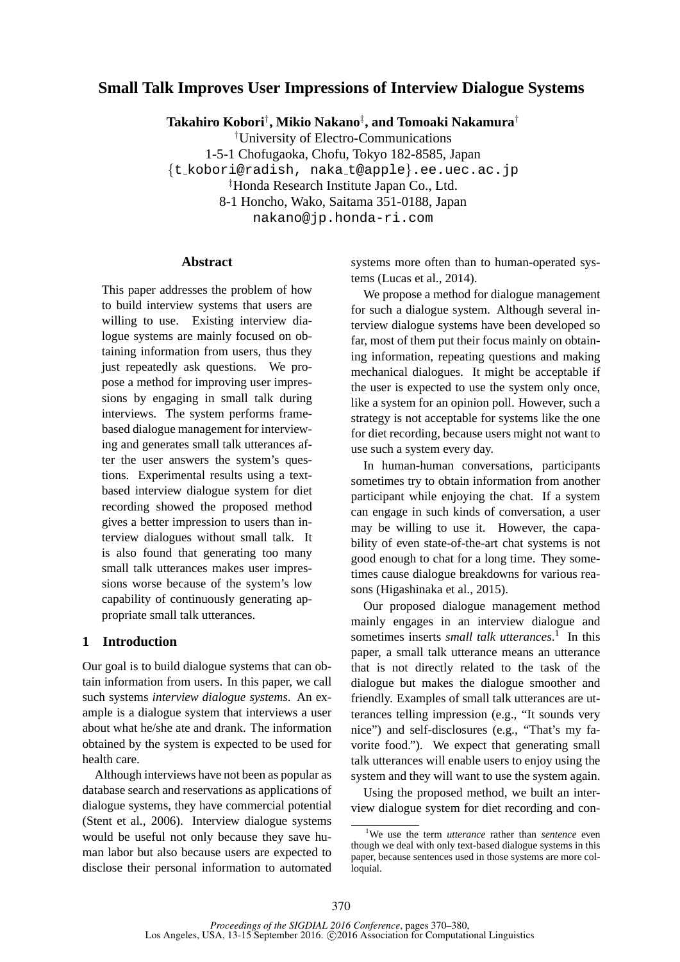# **Small Talk Improves User Impressions of Interview Dialogue Systems**

**Takahiro Kobori**† **, Mikio Nakano**‡ **, and Tomoaki Nakamura**†

†University of Electro-Communications

1-5-1 Chofugaoka, Chofu, Tokyo 182-8585, Japan

{t kobori@radish, naka t@apple}.ee.uec.ac.jp

‡Honda Research Institute Japan Co., Ltd.

8-1 Honcho, Wako, Saitama 351-0188, Japan

nakano@jp.honda-ri.com

#### **Abstract**

This paper addresses the problem of how to build interview systems that users are willing to use. Existing interview dialogue systems are mainly focused on obtaining information from users, thus they just repeatedly ask questions. We propose a method for improving user impressions by engaging in small talk during interviews. The system performs framebased dialogue management for interviewing and generates small talk utterances after the user answers the system's questions. Experimental results using a textbased interview dialogue system for diet recording showed the proposed method gives a better impression to users than interview dialogues without small talk. It is also found that generating too many small talk utterances makes user impressions worse because of the system's low capability of continuously generating appropriate small talk utterances.

## **1 Introduction**

Our goal is to build dialogue systems that can obtain information from users. In this paper, we call such systems *interview dialogue systems*. An example is a dialogue system that interviews a user about what he/she ate and drank. The information obtained by the system is expected to be used for health care.

Although interviews have not been as popular as database search and reservations as applications of dialogue systems, they have commercial potential (Stent et al., 2006). Interview dialogue systems would be useful not only because they save human labor but also because users are expected to disclose their personal information to automated systems more often than to human-operated systems (Lucas et al., 2014).

We propose a method for dialogue management for such a dialogue system. Although several interview dialogue systems have been developed so far, most of them put their focus mainly on obtaining information, repeating questions and making mechanical dialogues. It might be acceptable if the user is expected to use the system only once, like a system for an opinion poll. However, such a strategy is not acceptable for systems like the one for diet recording, because users might not want to use such a system every day.

In human-human conversations, participants sometimes try to obtain information from another participant while enjoying the chat. If a system can engage in such kinds of conversation, a user may be willing to use it. However, the capability of even state-of-the-art chat systems is not good enough to chat for a long time. They sometimes cause dialogue breakdowns for various reasons (Higashinaka et al., 2015).

Our proposed dialogue management method mainly engages in an interview dialogue and sometimes inserts *small talk utterances*. 1 In this paper, a small talk utterance means an utterance that is not directly related to the task of the dialogue but makes the dialogue smoother and friendly. Examples of small talk utterances are utterances telling impression (e.g., "It sounds very nice") and self-disclosures (e.g., "That's my favorite food."). We expect that generating small talk utterances will enable users to enjoy using the system and they will want to use the system again.

Using the proposed method, we built an interview dialogue system for diet recording and con-

<sup>1</sup>We use the term *utterance* rather than *sentence* even though we deal with only text-based dialogue systems in this paper, because sentences used in those systems are more colloquial.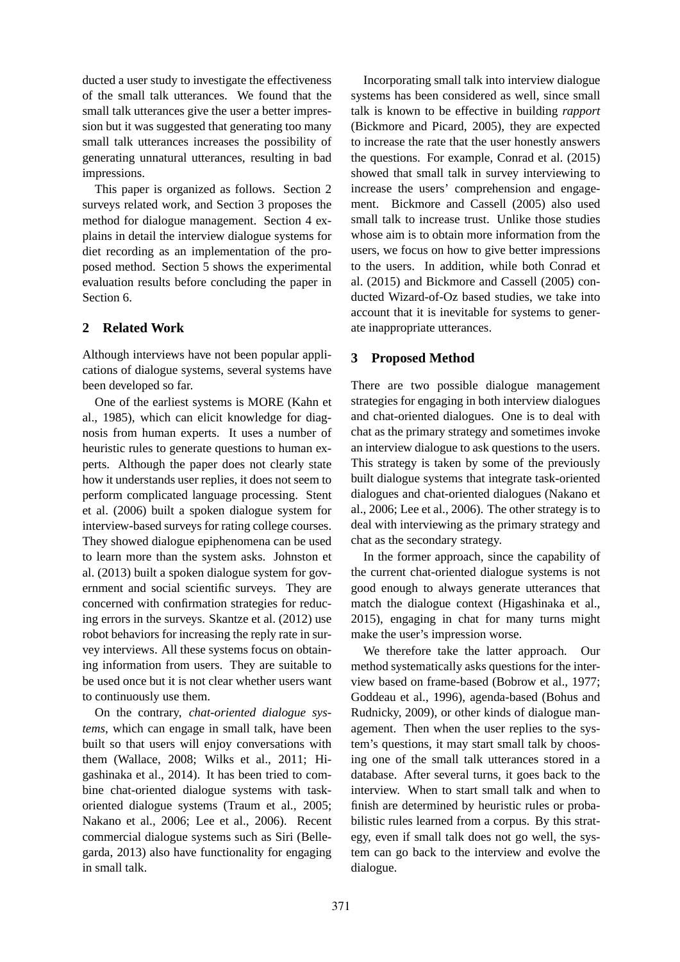ducted a user study to investigate the effectiveness of the small talk utterances. We found that the small talk utterances give the user a better impression but it was suggested that generating too many small talk utterances increases the possibility of generating unnatural utterances, resulting in bad impressions.

This paper is organized as follows. Section 2 surveys related work, and Section 3 proposes the method for dialogue management. Section 4 explains in detail the interview dialogue systems for diet recording as an implementation of the proposed method. Section 5 shows the experimental evaluation results before concluding the paper in Section 6.

## **2 Related Work**

Although interviews have not been popular applications of dialogue systems, several systems have been developed so far.

One of the earliest systems is MORE (Kahn et al., 1985), which can elicit knowledge for diagnosis from human experts. It uses a number of heuristic rules to generate questions to human experts. Although the paper does not clearly state how it understands user replies, it does not seem to perform complicated language processing. Stent et al. (2006) built a spoken dialogue system for interview-based surveys for rating college courses. They showed dialogue epiphenomena can be used to learn more than the system asks. Johnston et al. (2013) built a spoken dialogue system for government and social scientific surveys. They are concerned with confirmation strategies for reducing errors in the surveys. Skantze et al. (2012) use robot behaviors for increasing the reply rate in survey interviews. All these systems focus on obtaining information from users. They are suitable to be used once but it is not clear whether users want to continuously use them.

On the contrary, *chat-oriented dialogue systems*, which can engage in small talk, have been built so that users will enjoy conversations with them (Wallace, 2008; Wilks et al., 2011; Higashinaka et al., 2014). It has been tried to combine chat-oriented dialogue systems with taskoriented dialogue systems (Traum et al., 2005; Nakano et al., 2006; Lee et al., 2006). Recent commercial dialogue systems such as Siri (Bellegarda, 2013) also have functionality for engaging in small talk.

Incorporating small talk into interview dialogue systems has been considered as well, since small talk is known to be effective in building *rapport* (Bickmore and Picard, 2005), they are expected to increase the rate that the user honestly answers the questions. For example, Conrad et al. (2015) showed that small talk in survey interviewing to increase the users' comprehension and engagement. Bickmore and Cassell (2005) also used small talk to increase trust. Unlike those studies whose aim is to obtain more information from the users, we focus on how to give better impressions to the users. In addition, while both Conrad et al. (2015) and Bickmore and Cassell (2005) conducted Wizard-of-Oz based studies, we take into account that it is inevitable for systems to generate inappropriate utterances.

# **3 Proposed Method**

There are two possible dialogue management strategies for engaging in both interview dialogues and chat-oriented dialogues. One is to deal with chat as the primary strategy and sometimes invoke an interview dialogue to ask questions to the users. This strategy is taken by some of the previously built dialogue systems that integrate task-oriented dialogues and chat-oriented dialogues (Nakano et al., 2006; Lee et al., 2006). The other strategy is to deal with interviewing as the primary strategy and chat as the secondary strategy.

In the former approach, since the capability of the current chat-oriented dialogue systems is not good enough to always generate utterances that match the dialogue context (Higashinaka et al., 2015), engaging in chat for many turns might make the user's impression worse.

We therefore take the latter approach. Our method systematically asks questions for the interview based on frame-based (Bobrow et al., 1977; Goddeau et al., 1996), agenda-based (Bohus and Rudnicky, 2009), or other kinds of dialogue management. Then when the user replies to the system's questions, it may start small talk by choosing one of the small talk utterances stored in a database. After several turns, it goes back to the interview. When to start small talk and when to finish are determined by heuristic rules or probabilistic rules learned from a corpus. By this strategy, even if small talk does not go well, the system can go back to the interview and evolve the dialogue.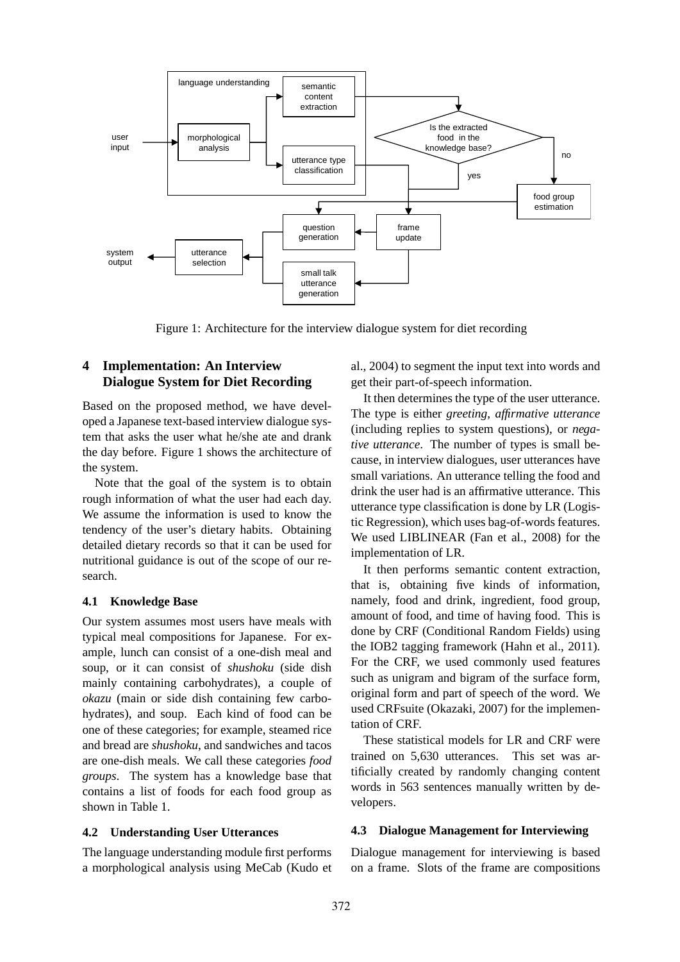

Figure 1: Architecture for the interview dialogue system for diet recording

## **4 Implementation: An Interview Dialogue System for Diet Recording**

Based on the proposed method, we have developed a Japanese text-based interview dialogue system that asks the user what he/she ate and drank the day before. Figure 1 shows the architecture of the system.

Note that the goal of the system is to obtain rough information of what the user had each day. We assume the information is used to know the tendency of the user's dietary habits. Obtaining detailed dietary records so that it can be used for nutritional guidance is out of the scope of our research.

## **4.1 Knowledge Base**

Our system assumes most users have meals with typical meal compositions for Japanese. For example, lunch can consist of a one-dish meal and soup, or it can consist of *shushoku* (side dish mainly containing carbohydrates), a couple of *okazu* (main or side dish containing few carbohydrates), and soup. Each kind of food can be one of these categories; for example, steamed rice and bread are *shushoku*, and sandwiches and tacos are one-dish meals. We call these categories *food groups*. The system has a knowledge base that contains a list of foods for each food group as shown in Table 1.

#### **4.2 Understanding User Utterances**

The language understanding module first performs a morphological analysis using MeCab (Kudo et

al., 2004) to segment the input text into words and get their part-of-speech information.

It then determines the type of the user utterance. The type is either *greeting*, *affirmative utterance* (including replies to system questions), or *negative utterance*. The number of types is small because, in interview dialogues, user utterances have small variations. An utterance telling the food and drink the user had is an affirmative utterance. This utterance type classification is done by LR (Logistic Regression), which uses bag-of-words features. We used LIBLINEAR (Fan et al., 2008) for the implementation of LR.

It then performs semantic content extraction, that is, obtaining five kinds of information, namely, food and drink, ingredient, food group, amount of food, and time of having food. This is done by CRF (Conditional Random Fields) using the IOB2 tagging framework (Hahn et al., 2011). For the CRF, we used commonly used features such as unigram and bigram of the surface form, original form and part of speech of the word. We used CRFsuite (Okazaki, 2007) for the implementation of CRF.

These statistical models for LR and CRF were trained on 5,630 utterances. This set was artificially created by randomly changing content words in 563 sentences manually written by developers.

#### **4.3 Dialogue Management for Interviewing**

Dialogue management for interviewing is based on a frame. Slots of the frame are compositions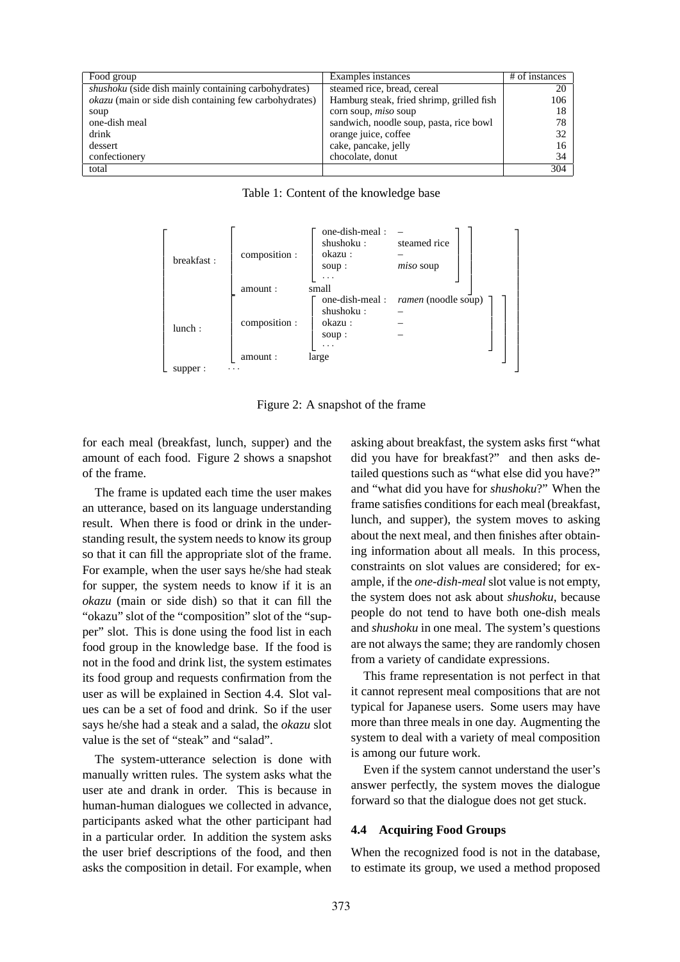| Food group                                                    | Examples instances                        | $#$ of instances |
|---------------------------------------------------------------|-------------------------------------------|------------------|
| <i>shushoku</i> (side dish mainly containing carbohydrates)   | steamed rice, bread, cereal               | 20               |
| <i>okazu</i> (main or side dish containing few carbohydrates) | Hamburg steak, fried shrimp, grilled fish | 106              |
| soup                                                          | corn soup, $miso$ soup                    | 18               |
| one-dish meal                                                 | sandwich, noodle soup, pasta, rice bowl   | 78               |
| drink                                                         | orange juice, coffee                      | 32               |
| dessert                                                       | cake, pancake, jelly                      | 16               |
| confectionery                                                 | chocolate, donut                          | 34               |
| total                                                         |                                           | 304              |

 $\sqrt{ }$  $\overline{1}$  $\overline{1}$  $\overline{1}$  $\overline{1}$  $\overline{1}$  $\overline{1}$  $\overline{1}$  $\overline{1}$  $\overline{1}$  $\overline{1}$  $\overline{1}$  $\overline{1}$  $\overline{1}$  $\perp$  $\overline{1}$  $\overline{1}$ breakfast :  $\sqrt{ }$  $\overline{1}$  $\overline{\phantom{a}}$  $\overline{\phantom{a}}$  $\overline{1}$  $\overline{\phantom{a}}$ composition :  $\sqrt{ }$  $\perp$  $\perp$  $\overline{\phantom{a}}$ one-dish-meal :<br>shushoku : steamed rice okazu : – soup : small  $\overline{1}$  $\perp$  $\mathbf{I}$  $\overline{1}$  $amount$ :  $\overline{1}$  $\overline{1}$  $\overline{1}$  $\overline{1}$  $\overline{1}$  $\overline{1}$ lunch : Ĭ  $\overline{1}$  $\overline{\phantom{a}}$  $\overline{\phantom{a}}$  $\overline{\phantom{a}}$  $\overline{1}$ composition :  $\sqrt{ }$  $\overline{1}$  $\overline{1}$  $\overline{1}$ one-dish-meal : *ramen* (noodle soup) shushoku : – okazu: soup :  $\lfloor \cdot \cdot \rfloor$ <br>large 1  $\overline{1}$  $\overline{1}$  $\overline{1}$ amount : 1  $\overline{1}$  $\overline{1}$  $\overline{1}$  $\overline{1}$  $\overline{1}$ supper : 1  $\overline{1}$  $\overline{1}$  $\overline{1}$  $\overline{1}$  $\overline{1}$  $\overline{1}$  $\overline{1}$  $\overline{1}$  $\overline{1}$  $\overline{1}$  $\overline{1}$  $\overline{1}$  $\overline{1}$  $\overline{1}$  $\mathbf{I}$  $\overline{1}$ 

Table 1: Content of the knowledge base

Figure 2: A snapshot of the frame

for each meal (breakfast, lunch, supper) and the amount of each food. Figure 2 shows a snapshot of the frame.

The frame is updated each time the user makes an utterance, based on its language understanding result. When there is food or drink in the understanding result, the system needs to know its group so that it can fill the appropriate slot of the frame. For example, when the user says he/she had steak for supper, the system needs to know if it is an *okazu* (main or side dish) so that it can fill the "okazu" slot of the "composition" slot of the "supper" slot. This is done using the food list in each food group in the knowledge base. If the food is not in the food and drink list, the system estimates its food group and requests confirmation from the user as will be explained in Section 4.4. Slot values can be a set of food and drink. So if the user says he/she had a steak and a salad, the *okazu* slot value is the set of "steak" and "salad".

The system-utterance selection is done with manually written rules. The system asks what the user ate and drank in order. This is because in human-human dialogues we collected in advance, participants asked what the other participant had in a particular order. In addition the system asks the user brief descriptions of the food, and then asks the composition in detail. For example, when asking about breakfast, the system asks first "what did you have for breakfast?" and then asks detailed questions such as "what else did you have?" and "what did you have for *shushoku*?" When the frame satisfies conditions for each meal (breakfast, lunch, and supper), the system moves to asking about the next meal, and then finishes after obtaining information about all meals. In this process, constraints on slot values are considered; for example, if the *one-dish-meal*slot value is not empty, the system does not ask about *shushoku*, because people do not tend to have both one-dish meals and *shushoku* in one meal. The system's questions are not always the same; they are randomly chosen from a variety of candidate expressions.

This frame representation is not perfect in that it cannot represent meal compositions that are not typical for Japanese users. Some users may have more than three meals in one day. Augmenting the system to deal with a variety of meal composition is among our future work.

Even if the system cannot understand the user's answer perfectly, the system moves the dialogue forward so that the dialogue does not get stuck.

#### **4.4 Acquiring Food Groups**

When the recognized food is not in the database, to estimate its group, we used a method proposed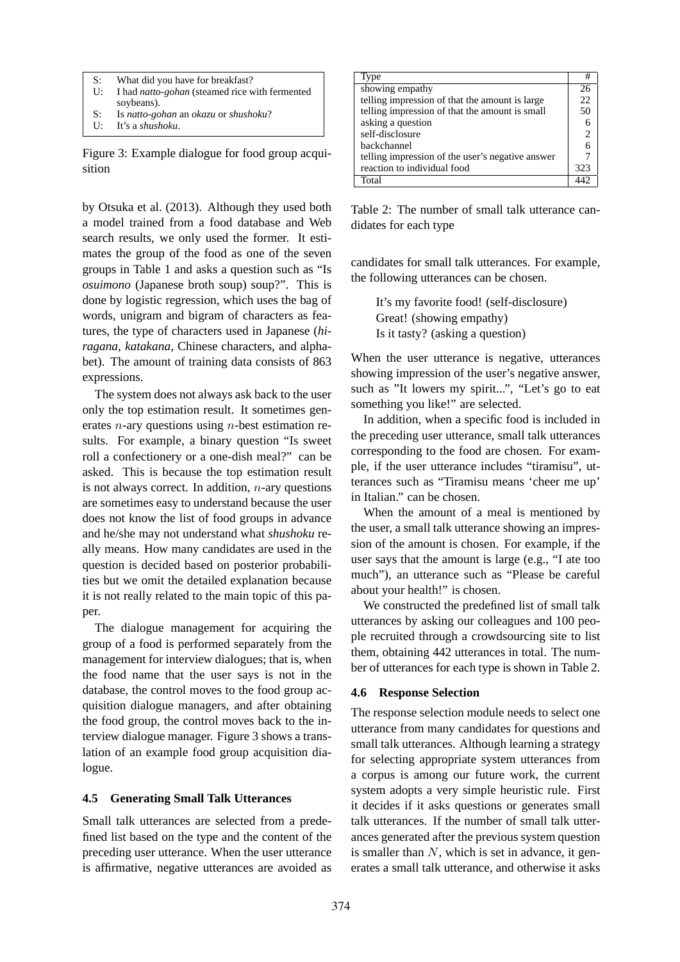- S: What did you have for breakfast?
- U: I had *natto-gohan* (steamed rice with fermented soybeans).
- S: Is *natto-gohan* an *okazu* or *shushoku*?
- U: It's a *shushoku*.

Figure 3: Example dialogue for food group acquisition

by Otsuka et al. (2013). Although they used both a model trained from a food database and Web search results, we only used the former. It estimates the group of the food as one of the seven groups in Table 1 and asks a question such as "Is *osuimono* (Japanese broth soup) soup?". This is done by logistic regression, which uses the bag of words, unigram and bigram of characters as features, the type of characters used in Japanese (*hiragana*, *katakana*, Chinese characters, and alphabet). The amount of training data consists of 863 expressions.

The system does not always ask back to the user only the top estimation result. It sometimes generates  $n$ -ary questions using  $n$ -best estimation results. For example, a binary question "Is sweet roll a confectionery or a one-dish meal?" can be asked. This is because the top estimation result is not always correct. In addition,  $n$ -ary questions are sometimes easy to understand because the user does not know the list of food groups in advance and he/she may not understand what *shushoku* really means. How many candidates are used in the question is decided based on posterior probabilities but we omit the detailed explanation because it is not really related to the main topic of this paper.

The dialogue management for acquiring the group of a food is performed separately from the management for interview dialogues; that is, when the food name that the user says is not in the database, the control moves to the food group acquisition dialogue managers, and after obtaining the food group, the control moves back to the interview dialogue manager. Figure 3 shows a translation of an example food group acquisition dialogue.

## **4.5 Generating Small Talk Utterances**

Small talk utterances are selected from a predefined list based on the type and the content of the preceding user utterance. When the user utterance is affirmative, negative utterances are avoided as

| Type                                             | #   |
|--------------------------------------------------|-----|
| showing empathy                                  | 26  |
| telling impression of that the amount is large   | 22  |
| telling impression of that the amount is small   | 50  |
| asking a question                                |     |
| self-disclosure                                  | 2   |
| backchannel                                      |     |
| telling impression of the user's negative answer |     |
| reaction to individual food                      | 323 |
| Total                                            |     |

Table 2: The number of small talk utterance candidates for each type

candidates for small talk utterances. For example, the following utterances can be chosen.

It's my favorite food! (self-disclosure) Great! (showing empathy) Is it tasty? (asking a question)

When the user utterance is negative, utterances showing impression of the user's negative answer, such as "It lowers my spirit...", "Let's go to eat something you like!" are selected.

In addition, when a specific food is included in the preceding user utterance, small talk utterances corresponding to the food are chosen. For example, if the user utterance includes "tiramisu", utterances such as "Tiramisu means 'cheer me up' in Italian." can be chosen.

When the amount of a meal is mentioned by the user, a small talk utterance showing an impression of the amount is chosen. For example, if the user says that the amount is large (e.g., "I ate too much"), an utterance such as "Please be careful about your health!" is chosen.

We constructed the predefined list of small talk utterances by asking our colleagues and 100 people recruited through a crowdsourcing site to list them, obtaining 442 utterances in total. The number of utterances for each type is shown in Table 2.

## **4.6 Response Selection**

The response selection module needs to select one utterance from many candidates for questions and small talk utterances. Although learning a strategy for selecting appropriate system utterances from a corpus is among our future work, the current system adopts a very simple heuristic rule. First it decides if it asks questions or generates small talk utterances. If the number of small talk utterances generated after the previous system question is smaller than  $N$ , which is set in advance, it generates a small talk utterance, and otherwise it asks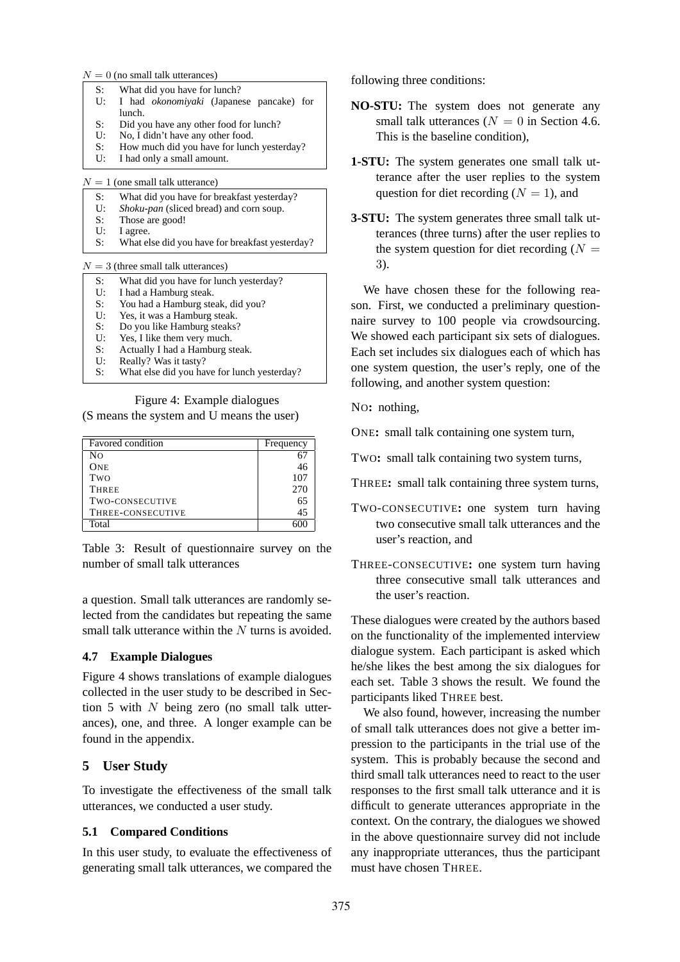$N = 0$  (no small talk utterances)

| S: | What did you have for lunch? |                                                    |  |  |  |
|----|------------------------------|----------------------------------------------------|--|--|--|
|    |                              | U: I had <i>okonomiyaki</i> (Japanese pancake) for |  |  |  |
|    | lunch.                       |                                                    |  |  |  |
|    |                              |                                                    |  |  |  |

- S: Did you have any other food for lunch?<br>U: No. I didn't have any other food. No. I didn't have any other food.
- 
- S: How much did you have for lunch yesterday?<br> $U = I had only a small amount$ I had only a small amount.

 $N = 1$  (one small talk utterance)

- S: What did you have for breakfast yesterday?
- U: *Shoku-pan* (sliced bread) and corn soup.
- S: Those are good!<br>U: Lagree
- I agree.
- S: What else did you have for breakfast yesterday?

 $N = 3$  (three small talk utterances)

- S: What did you have for lunch yesterday?<br>U: I had a Hamburg steak.
- I had a Hamburg steak.
- S: You had a Hamburg steak, did you?<br>U: Yes, it was a Hamburg steak.
- Yes, it was a Hamburg steak.
- S: Do you like Hamburg steaks?
- U: Yes, I like them very much.
- S: Actually I had a Hamburg steak.
- U: Really? Was it tasty?<br>S: What else did you has
- What else did you have for lunch yesterday?

Figure 4: Example dialogues (S means the system and U means the user)

| Favored condition | Frequency |
|-------------------|-----------|
| Nο                |           |
| <b>ONE</b>        | 46        |
| Two               | 107       |
| <b>THREE</b>      | 270       |
| TWO-CONSECUTIVE   | 65        |
| THREE-CONSECUTIVE | 45        |
| Total             |           |

Table 3: Result of questionnaire survey on the number of small talk utterances

a question. Small talk utterances are randomly selected from the candidates but repeating the same small talk utterance within the N turns is avoided.

## **4.7 Example Dialogues**

Figure 4 shows translations of example dialogues collected in the user study to be described in Section 5 with  $N$  being zero (no small talk utterances), one, and three. A longer example can be found in the appendix.

## **5 User Study**

To investigate the effectiveness of the small talk utterances, we conducted a user study.

## **5.1 Compared Conditions**

In this user study, to evaluate the effectiveness of generating small talk utterances, we compared the following three conditions:

- **NO-STU:** The system does not generate any small talk utterances ( $N = 0$  in Section 4.6. This is the baseline condition),
- **1-STU:** The system generates one small talk utterance after the user replies to the system question for diet recording  $(N = 1)$ , and
- **3-STU:** The system generates three small talk utterances (three turns) after the user replies to the system question for diet recording  $(N =$ 3).

We have chosen these for the following reason. First, we conducted a preliminary questionnaire survey to 100 people via crowdsourcing. We showed each participant six sets of dialogues. Each set includes six dialogues each of which has one system question, the user's reply, one of the following, and another system question:

NO**:** nothing,

ONE**:** small talk containing one system turn,

TWO**:** small talk containing two system turns,

- THREE**:** small talk containing three system turns,
- TWO-CONSECUTIVE**:** one system turn having two consecutive small talk utterances and the user's reaction, and
- THREE-CONSECUTIVE**:** one system turn having three consecutive small talk utterances and the user's reaction.

These dialogues were created by the authors based on the functionality of the implemented interview dialogue system. Each participant is asked which he/she likes the best among the six dialogues for each set. Table 3 shows the result. We found the participants liked THREE best.

We also found, however, increasing the number of small talk utterances does not give a better impression to the participants in the trial use of the system. This is probably because the second and third small talk utterances need to react to the user responses to the first small talk utterance and it is difficult to generate utterances appropriate in the context. On the contrary, the dialogues we showed in the above questionnaire survey did not include any inappropriate utterances, thus the participant must have chosen THREE.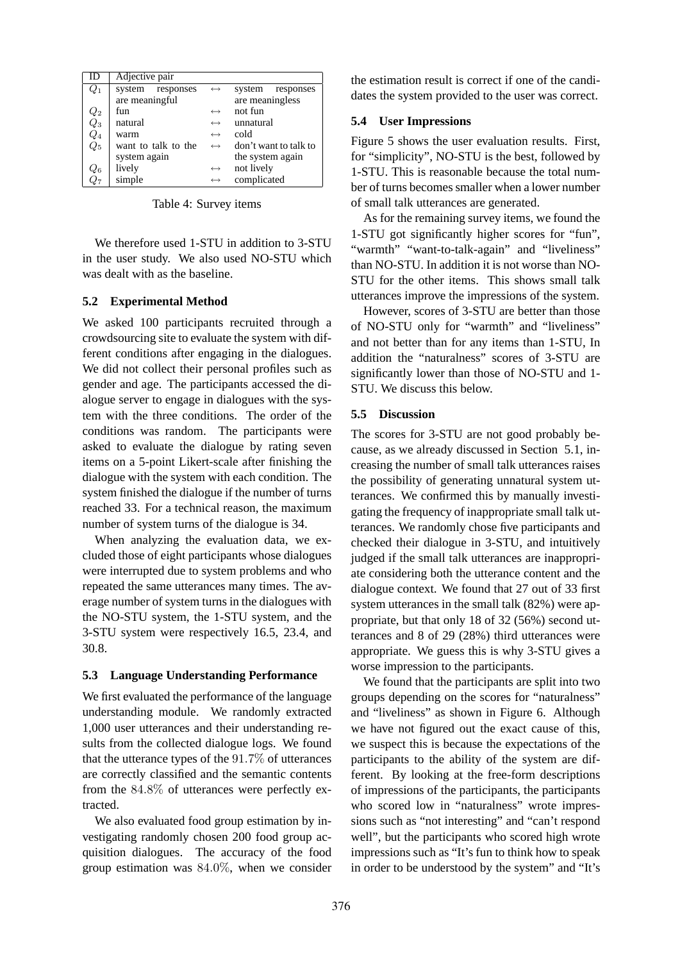| ID                                      | Adjective pair      |                   |                       |
|-----------------------------------------|---------------------|-------------------|-----------------------|
| $Q_1$                                   | system responses    | $\leftrightarrow$ | system<br>responses   |
|                                         | are meaningful      |                   | are meaningless       |
|                                         | fun                 | $\leftrightarrow$ | not fun               |
| $\begin{matrix} Q_2 \ Q_3 \end{matrix}$ | natural             | $\leftrightarrow$ | unnatural             |
| $\mathbb{Q}_4$                          | warm                | $\leftrightarrow$ | cold                  |
| $Q_5$                                   | want to talk to the | $\leftrightarrow$ | don't want to talk to |
|                                         | system again        |                   | the system again      |
| $Q_6$                                   | lively              | $\leftrightarrow$ | not lively            |
| $Q_7$                                   | simple              | $\leftrightarrow$ | complicated           |

Table 4: Survey items

We therefore used 1-STU in addition to 3-STU in the user study. We also used NO-STU which was dealt with as the baseline.

#### **5.2 Experimental Method**

We asked 100 participants recruited through a crowdsourcing site to evaluate the system with different conditions after engaging in the dialogues. We did not collect their personal profiles such as gender and age. The participants accessed the dialogue server to engage in dialogues with the system with the three conditions. The order of the conditions was random. The participants were asked to evaluate the dialogue by rating seven items on a 5-point Likert-scale after finishing the dialogue with the system with each condition. The system finished the dialogue if the number of turns reached 33. For a technical reason, the maximum number of system turns of the dialogue is 34.

When analyzing the evaluation data, we excluded those of eight participants whose dialogues were interrupted due to system problems and who repeated the same utterances many times. The average number of system turns in the dialogues with the NO-STU system, the 1-STU system, and the 3-STU system were respectively 16.5, 23.4, and 30.8.

#### **5.3 Language Understanding Performance**

We first evaluated the performance of the language understanding module. We randomly extracted 1,000 user utterances and their understanding results from the collected dialogue logs. We found that the utterance types of the 91.7% of utterances are correctly classified and the semantic contents from the 84.8% of utterances were perfectly extracted.

We also evaluated food group estimation by investigating randomly chosen 200 food group acquisition dialogues. The accuracy of the food group estimation was 84.0%, when we consider the estimation result is correct if one of the candidates the system provided to the user was correct.

#### **5.4 User Impressions**

Figure 5 shows the user evaluation results. First, for "simplicity", NO-STU is the best, followed by 1-STU. This is reasonable because the total number of turns becomes smaller when a lower number of small talk utterances are generated.

As for the remaining survey items, we found the 1-STU got significantly higher scores for "fun", "warmth" "want-to-talk-again" and "liveliness" than NO-STU. In addition it is not worse than NO-STU for the other items. This shows small talk utterances improve the impressions of the system.

However, scores of 3-STU are better than those of NO-STU only for "warmth" and "liveliness" and not better than for any items than 1-STU, In addition the "naturalness" scores of 3-STU are significantly lower than those of NO-STU and 1- STU. We discuss this below.

#### **5.5 Discussion**

The scores for 3-STU are not good probably because, as we already discussed in Section 5.1, increasing the number of small talk utterances raises the possibility of generating unnatural system utterances. We confirmed this by manually investigating the frequency of inappropriate small talk utterances. We randomly chose five participants and checked their dialogue in 3-STU, and intuitively judged if the small talk utterances are inappropriate considering both the utterance content and the dialogue context. We found that 27 out of 33 first system utterances in the small talk (82%) were appropriate, but that only 18 of 32 (56%) second utterances and 8 of 29 (28%) third utterances were appropriate. We guess this is why 3-STU gives a worse impression to the participants.

We found that the participants are split into two groups depending on the scores for "naturalness" and "liveliness" as shown in Figure 6. Although we have not figured out the exact cause of this, we suspect this is because the expectations of the participants to the ability of the system are different. By looking at the free-form descriptions of impressions of the participants, the participants who scored low in "naturalness" wrote impressions such as "not interesting" and "can't respond well", but the participants who scored high wrote impressions such as "It's fun to think how to speak in order to be understood by the system" and "It's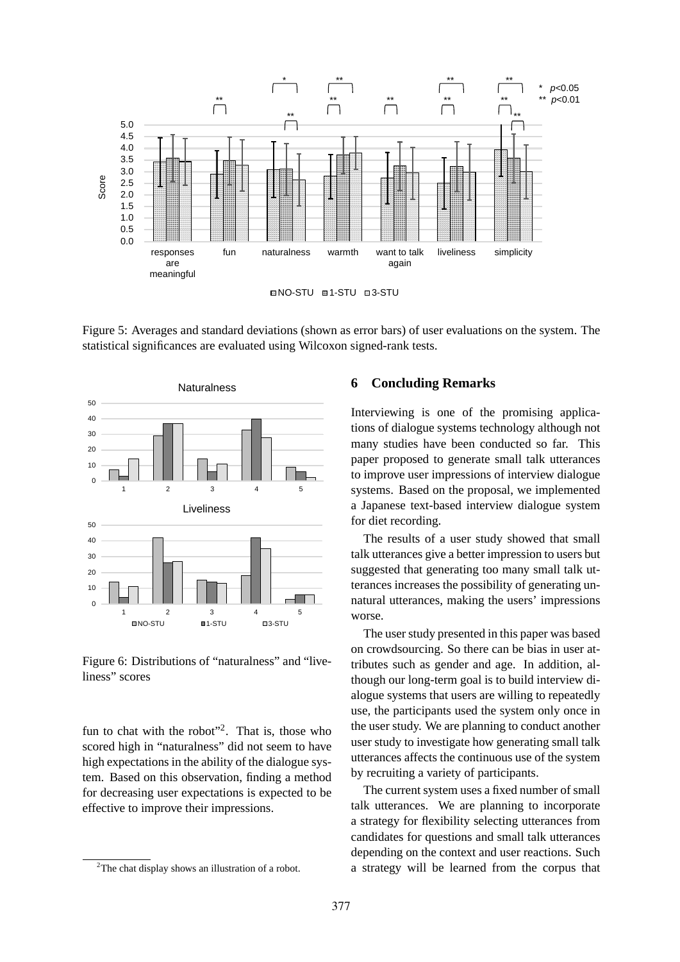

Figure 5: Averages and standard deviations (shown as error bars) of user evaluations on the system. The statistical significances are evaluated using Wilcoxon signed-rank tests.



Figure 6: Distributions of "naturalness" and "liveliness" scores

fun to chat with the robot"<sup>2</sup>. That is, those who scored high in "naturalness" did not seem to have high expectations in the ability of the dialogue system. Based on this observation, finding a method for decreasing user expectations is expected to be effective to improve their impressions.

#### **6 Concluding Remarks**

Interviewing is one of the promising applications of dialogue systems technology although not many studies have been conducted so far. This paper proposed to generate small talk utterances to improve user impressions of interview dialogue systems. Based on the proposal, we implemented a Japanese text-based interview dialogue system for diet recording.

The results of a user study showed that small talk utterances give a better impression to users but suggested that generating too many small talk utterances increases the possibility of generating unnatural utterances, making the users' impressions worse.

The user study presented in this paper was based on crowdsourcing. So there can be bias in user attributes such as gender and age. In addition, although our long-term goal is to build interview dialogue systems that users are willing to repeatedly use, the participants used the system only once in the user study. We are planning to conduct another user study to investigate how generating small talk utterances affects the continuous use of the system by recruiting a variety of participants.

The current system uses a fixed number of small talk utterances. We are planning to incorporate a strategy for flexibility selecting utterances from candidates for questions and small talk utterances depending on the context and user reactions. Such a strategy will be learned from the corpus that

<sup>&</sup>lt;sup>2</sup>The chat display shows an illustration of a robot.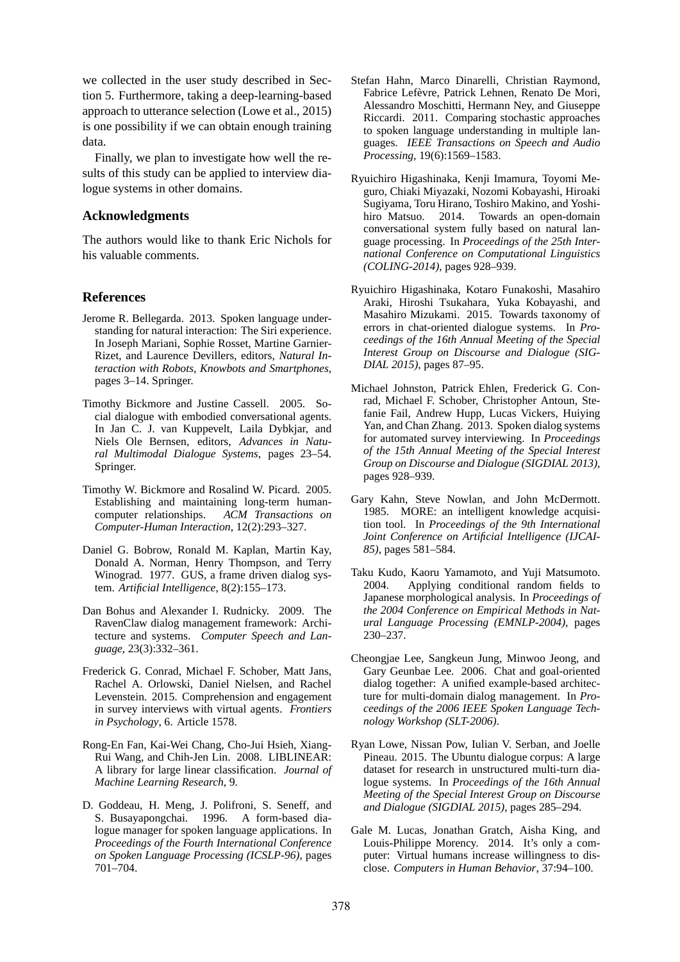we collected in the user study described in Section 5. Furthermore, taking a deep-learning-based approach to utterance selection (Lowe et al., 2015) is one possibility if we can obtain enough training data.

Finally, we plan to investigate how well the results of this study can be applied to interview dialogue systems in other domains.

#### **Acknowledgments**

The authors would like to thank Eric Nichols for his valuable comments.

## **References**

- Jerome R. Bellegarda. 2013. Spoken language understanding for natural interaction: The Siri experience. In Joseph Mariani, Sophie Rosset, Martine Garnier-Rizet, and Laurence Devillers, editors, *Natural Interaction with Robots, Knowbots and Smartphones*, pages 3–14. Springer.
- Timothy Bickmore and Justine Cassell. 2005. Social dialogue with embodied conversational agents. In Jan C. J. van Kuppevelt, Laila Dybkjar, and Niels Ole Bernsen, editors, *Advances in Natural Multimodal Dialogue Systems*, pages 23–54. Springer.
- Timothy W. Bickmore and Rosalind W. Picard. 2005. Establishing and maintaining long-term humancomputer relationships. *ACM Transactions on Computer-Human Interaction*, 12(2):293–327.
- Daniel G. Bobrow, Ronald M. Kaplan, Martin Kay, Donald A. Norman, Henry Thompson, and Terry Winograd. 1977. GUS, a frame driven dialog system. *Artificial Intelligence*, 8(2):155–173.
- Dan Bohus and Alexander I. Rudnicky. 2009. The RavenClaw dialog management framework: Architecture and systems. *Computer Speech and Language*, 23(3):332–361.
- Frederick G. Conrad, Michael F. Schober, Matt Jans, Rachel A. Orlowski, Daniel Nielsen, and Rachel Levenstein. 2015. Comprehension and engagement in survey interviews with virtual agents. *Frontiers in Psychology*, 6. Article 1578.
- Rong-En Fan, Kai-Wei Chang, Cho-Jui Hsieh, Xiang-Rui Wang, and Chih-Jen Lin. 2008. LIBLINEAR: A library for large linear classification. *Journal of Machine Learning Research*, 9.
- D. Goddeau, H. Meng, J. Polifroni, S. Seneff, and S. Busayapongchai. 1996. A form-based dialogue manager for spoken language applications. In *Proceedings of the Fourth International Conference on Spoken Language Processing (ICSLP-96)*, pages 701–704.
- Stefan Hahn, Marco Dinarelli, Christian Raymond, Fabrice Lefèvre, Patrick Lehnen, Renato De Mori, Alessandro Moschitti, Hermann Ney, and Giuseppe Riccardi. 2011. Comparing stochastic approaches to spoken language understanding in multiple languages. *IEEE Transactions on Speech and Audio Processing*, 19(6):1569–1583.
- Ryuichiro Higashinaka, Kenji Imamura, Toyomi Meguro, Chiaki Miyazaki, Nozomi Kobayashi, Hiroaki Sugiyama, Toru Hirano, Toshiro Makino, and Yoshihiro Matsuo. 2014. Towards an open-domain conversational system fully based on natural language processing. In *Proceedings of the 25th International Conference on Computational Linguistics (COLING-2014)*, pages 928–939.
- Ryuichiro Higashinaka, Kotaro Funakoshi, Masahiro Araki, Hiroshi Tsukahara, Yuka Kobayashi, and Masahiro Mizukami. 2015. Towards taxonomy of errors in chat-oriented dialogue systems. In *Proceedings of the 16th Annual Meeting of the Special Interest Group on Discourse and Dialogue (SIG-DIAL 2015)*, pages 87–95.
- Michael Johnston, Patrick Ehlen, Frederick G. Conrad, Michael F. Schober, Christopher Antoun, Stefanie Fail, Andrew Hupp, Lucas Vickers, Huiying Yan, and Chan Zhang. 2013. Spoken dialog systems for automated survey interviewing. In *Proceedings of the 15th Annual Meeting of the Special Interest Group on Discourse and Dialogue (SIGDIAL 2013)*, pages 928–939.
- Gary Kahn, Steve Nowlan, and John McDermott. 1985. MORE: an intelligent knowledge acquisition tool. In *Proceedings of the 9th International Joint Conference on Artificial Intelligence (IJCAI-85)*, pages 581–584.
- Taku Kudo, Kaoru Yamamoto, and Yuji Matsumoto. 2004. Applying conditional random fields to Japanese morphological analysis. In *Proceedings of the 2004 Conference on Empirical Methods in Natural Language Processing (EMNLP-2004)*, pages 230–237.
- Cheongjae Lee, Sangkeun Jung, Minwoo Jeong, and Gary Geunbae Lee. 2006. Chat and goal-oriented dialog together: A unified example-based architecture for multi-domain dialog management. In *Proceedings of the 2006 IEEE Spoken Language Technology Workshop (SLT-2006)*.
- Ryan Lowe, Nissan Pow, Iulian V. Serban, and Joelle Pineau. 2015. The Ubuntu dialogue corpus: A large dataset for research in unstructured multi-turn dialogue systems. In *Proceedings of the 16th Annual Meeting of the Special Interest Group on Discourse and Dialogue (SIGDIAL 2015)*, pages 285–294.
- Gale M. Lucas, Jonathan Gratch, Aisha King, and Louis-Philippe Morency. 2014. It's only a computer: Virtual humans increase willingness to disclose. *Computers in Human Behavior*, 37:94–100.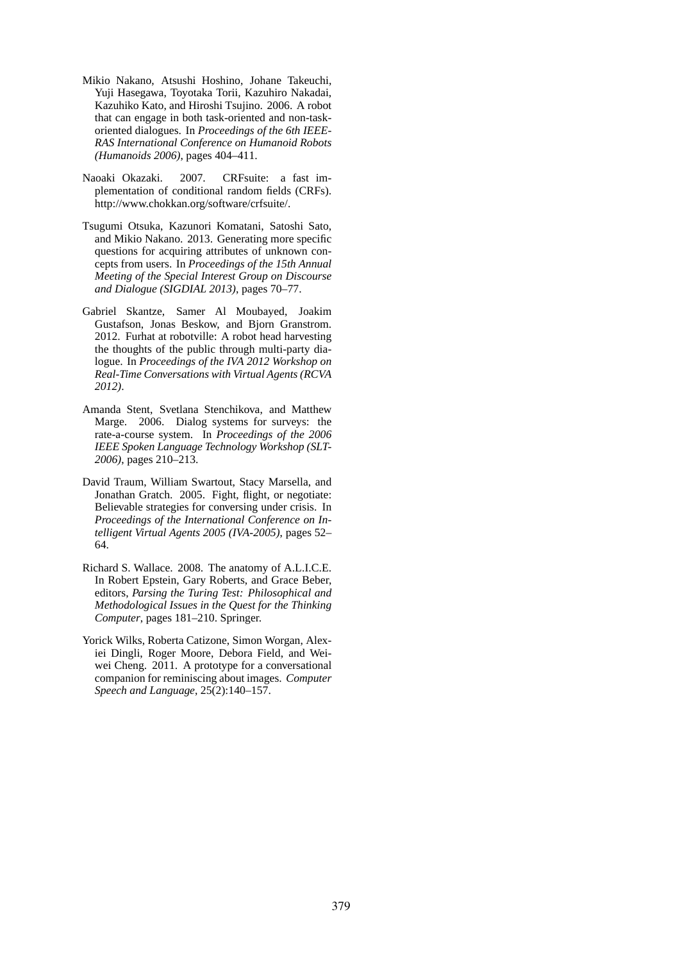- Mikio Nakano, Atsushi Hoshino, Johane Takeuchi, Yuji Hasegawa, Toyotaka Torii, Kazuhiro Nakadai, Kazuhiko Kato, and Hiroshi Tsujino. 2006. A robot that can engage in both task-oriented and non-taskoriented dialogues. In *Proceedings of the 6th IEEE-RAS International Conference on Humanoid Robots (Humanoids 2006)*, pages 404–411.
- Naoaki Okazaki. 2007. CRFsuite: a fast implementation of conditional random fields (CRFs). http://www.chokkan.org/software/crfsuite/.
- Tsugumi Otsuka, Kazunori Komatani, Satoshi Sato, and Mikio Nakano. 2013. Generating more specific questions for acquiring attributes of unknown concepts from users. In *Proceedings of the 15th Annual Meeting of the Special Interest Group on Discourse and Dialogue (SIGDIAL 2013)*, pages 70–77.
- Gabriel Skantze, Samer Al Moubayed, Joakim Gustafson, Jonas Beskow, and Bjorn Granstrom. 2012. Furhat at robotville: A robot head harvesting the thoughts of the public through multi-party dialogue. In *Proceedings of the IVA 2012 Workshop on Real-Time Conversations with Virtual Agents (RCVA 2012)*.
- Amanda Stent, Svetlana Stenchikova, and Matthew Marge. 2006. Dialog systems for surveys: the rate-a-course system. In *Proceedings of the 2006 IEEE Spoken Language Technology Workshop (SLT-2006)*, pages 210–213.
- David Traum, William Swartout, Stacy Marsella, and Jonathan Gratch. 2005. Fight, flight, or negotiate: Believable strategies for conversing under crisis. In *Proceedings of the International Conference on Intelligent Virtual Agents 2005 (IVA-2005)*, pages 52– 64.
- Richard S. Wallace. 2008. The anatomy of A.L.I.C.E. In Robert Epstein, Gary Roberts, and Grace Beber, editors, *Parsing the Turing Test: Philosophical and Methodological Issues in the Quest for the Thinking Computer*, pages 181–210. Springer.
- Yorick Wilks, Roberta Catizone, Simon Worgan, Alexiei Dingli, Roger Moore, Debora Field, and Weiwei Cheng. 2011. A prototype for a conversational companion for reminiscing about images. *Computer Speech and Language*, 25(2):140–157.